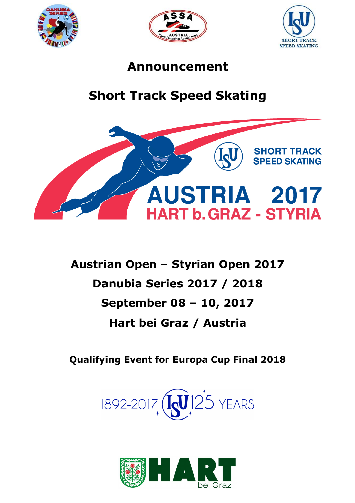





## Announcement

# Short Track Speed Skating



Austrian Open – Styrian Open 2017 Danubia Series 2017 / 2018 September 08 – 10, 2017 Hart bei Graz / Austria

Qualifying Event for Europa Cup Final 2018



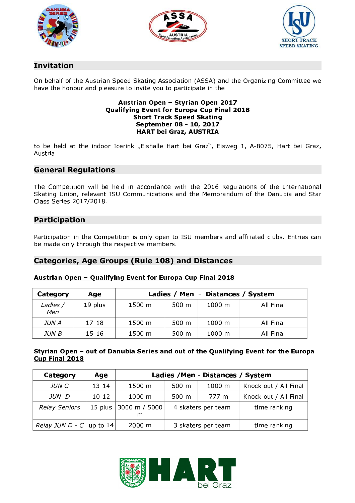





## Invitation

On behalf of the Austrian Speed Skating Association (ASSA) and the Organizing Committee we have the honour and pleasure to invite you to participate in the

#### Austrian Open – Styrian Open 2017 Qualifying Event for Europa Cup Final 2018 Short Track Speed Skating September 08 - 10, 2017 HART bei Graz, AUSTRIA

to be held at the indoor Icerink "Eishalle Hart bei Graz", Eisweg 1, A-8075, Hart bei Graz, Austria

## General Regulations

The Competition will be held in accordance with the 2016 Regulations of the International Skating Union, relevant ISU Communications and the Memorandum of the Danubia and Star Class Series 2017/2018.

## Participation

Participation in the Competition is only open to ISU members and affiliated clubs. Entries can be made only through the respective members.

## Categories, Age Groups (Rule 108) and Distances

#### Austrian Open – Qualifying Event for Europa Cup Final 2018

| Category        | Age       | Ladies / Men - Distances / System |       |                      |           |
|-----------------|-----------|-----------------------------------|-------|----------------------|-----------|
| Ladies /<br>Men | 19 plus   | 1500 m                            | 500 m | $1000 \; \mathrm{m}$ | All Final |
| JUN A           | $17 - 18$ | 1500 m                            | 500 m | $1000 \; \mathrm{m}$ | All Final |
| JUN B           | $15 - 16$ | 1500 m                            | 500 m | $1000 \; \mathrm{m}$ | All Final |

#### Styrian Open – out of Danubia Series and out of the Qualifying Event for the Europa Cup Final 2018

| Category          | Age          | Ladies / Men - Distances / System |                     |                      |                       |
|-------------------|--------------|-----------------------------------|---------------------|----------------------|-----------------------|
| JUN C             | $13 - 14$    | 1500 m                            | $500 \; \mathrm{m}$ | $1000 \; \mathrm{m}$ | Knock out / All Final |
| JUN D             | $10 - 12$    | $1000 \; m$                       | $500 \; \text{m}$   | 777 m                | Knock out / All Final |
| Relay Seniors     | 15 plus      | 3000 m / 5000<br>m                | 4 skaters per team  |                      | time ranking          |
| Relay JUN $D - C$ | $ $ up to 14 | $2000 \; \text{m}$                | 3 skaters per team  |                      | time ranking          |

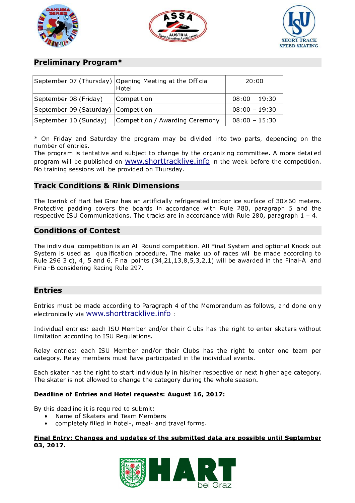





## Preliminary Program\*

|                                     | September 07 (Thursday) Opening Meeting at the Official<br>Hotel | 20:00           |
|-------------------------------------|------------------------------------------------------------------|-----------------|
| September 08 (Friday)               | Competition                                                      | $08.00 - 19.30$ |
| September 09 (Saturday) Competition |                                                                  | $08.00 - 19.30$ |
| September 10 (Sunday)               | Competition / Awarding Ceremony                                  | $08:00 - 15:30$ |

\* On Friday and Saturday the program may be divided into two parts, depending on the number of entries.

The program is tentative and subject to change by the organizing committee. A more detailed program will be published on www.shorttracklive.info in the week before the competition. No training sessions will be provided on Thursday.

## Track Conditions & Rink Dimensions

The Icerink of Hart bei Graz has an artificially refrigerated indoor ice surface of 30×60 meters. Protective padding covers the boards in accordance with Rule 280, paragraph 5 and the respective ISU Communications. The tracks are in accordance with Rule 280, paragraph 1 – 4.

## Conditions of Contest

The individual competition is an All Round competition. All Final System and optional Knock out System is used as qualification procedure. The make up of races will be made according to Rule 296 3 c), 4, 5 and 6. Final points (34,21,13,8,5,3,2,1) will be awarded in the Final-A and Final-B considering Racing Rule 297.

## Entries

Entries must be made according to Paragraph 4 of the Memorandum as follows, and done only electronically via www.shorttracklive.info :

Individual entries: each ISU Member and/or their Clubs has the right to enter skaters without limitation according to ISU Regulations.

Relay entries: each ISU Member and/or their Clubs has the right to enter one team per category. Relay members must have participated in the individual events.

Each skater has the right to start individually in his/her respective or next higher age category. The skater is not allowed to change the category during the whole season.

#### Deadline of Entries and Hotel requests: August 16, 2017:

By this deadline it is required to submit:

- Name of Skaters and Team Members
- completely filled in hotel-, meal- and travel forms.

#### Final Entry: Changes and updates of the submitted data are possible until September 03, 2017.

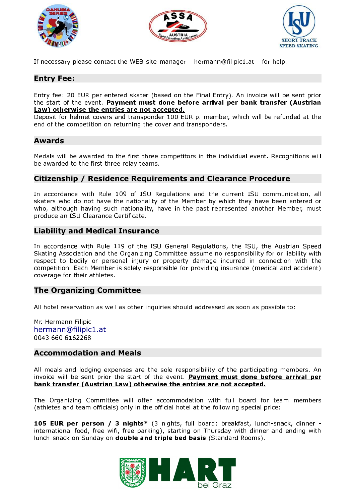





If necessary please contact the WEB-site-manager – hermann@filipic1.at – for help.

## Entry Fee:

Entry fee: 20 EUR per entered skater (based on the Final Entry). An invoice will be sent prior the start of the event. Payment must done before arrival per bank transfer (Austrian Law) otherwise the entries are not accepted.

Deposit for helmet covers and transponder 100 EUR p. member, which will be refunded at the end of the competition on returning the cover and transponders.

## Awards

Medals will be awarded to the first three competitors in the individual event. Recognitions will be awarded to the first three relay teams.

## Citizenship / Residence Requirements and Clearance Procedure

In accordance with Rule 109 of ISU Regulations and the current ISU communication, all skaters who do not have the nationality of the Member by which they have been entered or who, although having such nationality, have in the past represented another Member, must produce an ISU Clearance Certificate.

## Liability and Medical Insurance

In accordance with Rule 119 of the ISU General Regulations, the ISU, the Austrian Speed Skating Association and the Organizing Committee assume no responsibility for or liability with respect to bodily or personal injury or property damage incurred in connection with the competition. Each Member is solely responsible for providing insurance (medical and accident) coverage for their athletes.

## The Organizing Committee

All hotel reservation as well as other inquiries should addressed as soon as possible to:

Mr. Hermann Filipic hermann@filipic1.at 0043 660 6162268

## Accommodation and Meals

All meals and lodging expenses are the sole responsibility of the participating members. An invoice will be sent prior the start of the event. Payment must done before arrival per bank transfer (Austrian Law) otherwise the entries are not accepted .

The Organizing Committee will offer accommodation with full board for team members (athletes and team officials) only in the official hotel at the following special price:

105 EUR per person / 3 nights\* (3 nights, full board: breakfast, lunch-snack, dinner international food, free wifi, free parking), starting on Thursday with dinner and ending with lunch-snack on Sunday on double and triple bed basis (Standard Rooms).

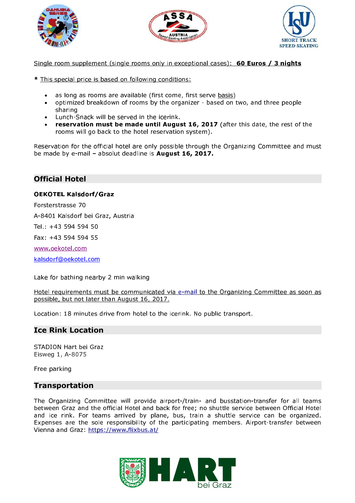





Single room supplement (single rooms only in exceptional cases): **60 Euros / 3 nights** 

- \* This special price is based on following conditions:
	- as long as rooms are available (first come, first serve basis)
	- optimized breakdown of rooms by the organizer based on two, and three people sharing
	- Lunch-Snack will be served in the icerink.
	- reservation must be made until August 16, 2017 (after this date, the rest of the rooms will go back to the hotel reservation system).

Reservation for the official hotel are only possible through the Organizing Committee and must be made by e-mail - absolut deadline is August 16, 2017.

## Official Hotel

#### OEKOTEL Kalsdorf/Graz

Forsterstrasse 70

A-8401 Kalsdorf bei Graz, Austria

Tel.: +43 594 594 50

Fax: +43 594 594 55

www.oekotel.com

kalsdorf@oekotel.com

Lake for bathing nearby 2 min walking

Hotel requirements must be communicated via e-mail to the Organizing Committee as soon as possible, but not later than August 16 , 2017.

Location: 18 minutes drive from hotel to the icerink. No public transport.

## Ice Rink Location

STADION Hart bei Graz Eisweg 1, A-8075

Free parking

## Transportation

The Organizing Committee will provide airport-/train- and busstation-transfer for all teams between Graz and the official Hotel and back for free; no shuttle service between Official Hotel and ice rink. For teams arrived by plane, bus, train a shuttle service can be organized. Expenses are the sole responsibility of the participating members. Airport-transfer between Vienna and Graz: https://www.flixbus.at/